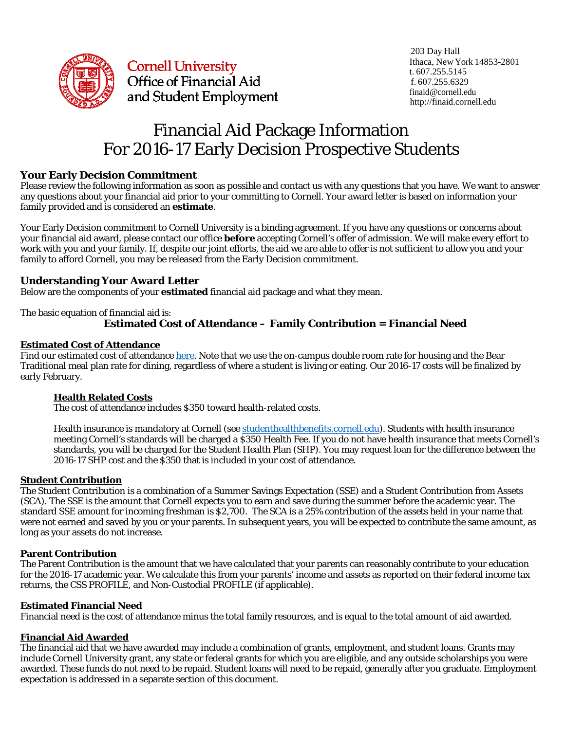

**Cornell University** Office of Financial Aid and Student Employment and Student Employment

# Financial Aid Package Information For 2016-17 Early Decision Prospective Students

## **Your Early Decision Commitment**

Please review the following information as soon as possible and contact us with any questions that you have. We want to answer any questions about your financial aid prior to your committing to Cornell. Your award letter is based on information your family provided and is considered an **estimate**.

Your Early Decision commitment to Cornell University is a binding agreement. If you have any questions or concerns about your financial aid award, please contact our office **before** accepting Cornell's offer of admission. We will make every effort to work with you and your family. If, despite our joint efforts, the aid we are able to offer is not sufficient to allow you and your family to afford Cornell, you may be released from the Early Decision commitment.

## **Understanding Your Award Letter**

Below are the components of your **estimated** financial aid package and what they mean.

The basic equation of financial aid is:

## **Estimated Cost of Attendance – Family Contribution = Financial Need**

### **Estimated Cost of Attendance**

Find our estimated cost of attendance [here.](http://finaid.cornell.edu/cost-attend) Note that we use the on-campus double room rate for housing and the Bear Traditional meal plan rate for dining, regardless of where a student is living or eating. Our 2016-17 costs will be finalized by early February.

#### **Health Related Costs**

The cost of attendance includes \$350 toward health-related costs.

Health insurance is mandatory at Cornell (se[e studenthealthbenefits.cornell.edu\)](http://studenthealthbenefits.cornell.edu/). Students with health insurance meeting Cornell's standards will be charged a \$350 Health Fee. If you do not have health insurance that meets Cornell's standards, you will be charged for the Student Health Plan (SHP). You may request loan for the difference between the 2016-17 SHP cost and the \$350 that is included in your cost of attendance.

#### **Student Contribution**

The Student Contribution is a combination of a Summer Savings Expectation (SSE) and a Student Contribution from Assets (SCA). The SSE is the amount that Cornell expects you to earn and save during the summer before the academic year. The standard SSE amount for incoming freshman is \$2,700. The SCA is a 25% contribution of the assets held in your name that were not earned and saved by you or your parents. In subsequent years, you will be expected to contribute the same amount, as long as your assets do not increase.

## **Parent Contribution**

The Parent Contribution is the amount that we have calculated that your parents can reasonably contribute to your education for the 2016-17 academic year. We calculate this from your parents' income and assets as reported on their federal income tax returns, the CSS PROFILE, and Non-Custodial PROFILE (if applicable).

## **Estimated Financial Need**

Financial need is the cost of attendance minus the total family resources, and is equal to the total amount of aid awarded.

#### **Financial Aid Awarded**

The financial aid that we have awarded may include a combination of grants, employment, and student loans. Grants may include Cornell University grant, any state or federal grants for which you are eligible, and any outside scholarships you were awarded. These funds do not need to be repaid. Student loans will need to be repaid, generally after you graduate. Employment expectation is addressed in a separate section of this document.